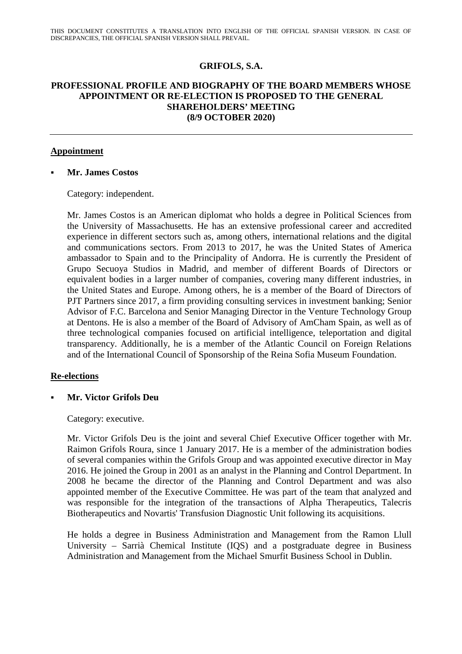# **GRIFOLS, S.A.**

# **PROFESSIONAL PROFILE AND BIOGRAPHY OF THE BOARD MEMBERS WHOSE APPOINTMENT OR RE-ELECTION IS PROPOSED TO THE GENERAL SHAREHOLDERS' MEETING (8/9 OCTOBER 2020)**

#### **Appointment**

#### **Mr. James Costos**

Category: independent.

Mr. James Costos is an American diplomat who holds a degree in Political Sciences from the University of Massachusetts. He has an extensive professional career and accredited experience in different sectors such as, among others, international relations and the digital and communications sectors. From 2013 to 2017, he was the United States of America ambassador to Spain and to the Principality of Andorra. He is currently the President of Grupo Secuoya Studios in Madrid, and member of different Boards of Directors or equivalent bodies in a larger number of companies, covering many different industries, in the United States and Europe. Among others, he is a member of the Board of Directors of PJT Partners since 2017, a firm providing consulting services in investment banking; Senior Advisor of F.C. Barcelona and Senior Managing Director in the Venture Technology Group at Dentons. He is also a member of the Board of Advisory of AmCham Spain, as well as of three technological companies focused on artificial intelligence, teleportation and digital transparency. Additionally, he is a member of the Atlantic Council on Foreign Relations and of the International Council of Sponsorship of the Reina Sofia Museum Foundation.

## **Re-elections**

**Mr. Victor Grifols Deu**

Category: executive.

Mr. Victor Grifols Deu is the joint and several Chief Executive Officer together with Mr. Raimon Grifols Roura, since 1 January 2017. He is a member of the administration bodies of several companies within the Grifols Group and was appointed executive director in May 2016. He joined the Group in 2001 as an analyst in the Planning and Control Department. In 2008 he became the director of the Planning and Control Department and was also appointed member of the Executive Committee. He was part of the team that analyzed and was responsible for the integration of the transactions of Alpha Therapeutics, Talecris Biotherapeutics and Novartis' Transfusion Diagnostic Unit following its acquisitions.

He holds a degree in Business Administration and Management from the Ramon Llull University – Sarrià Chemical Institute (IQS) and a postgraduate degree in Business Administration and Management from the Michael Smurfit Business School in Dublin.